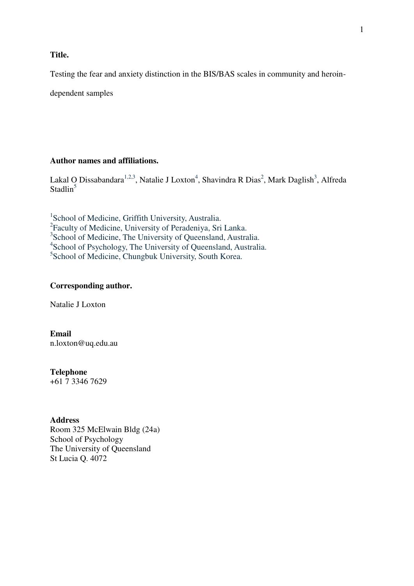## **Title.**

Testing the fear and anxiety distinction in the BIS/BAS scales in community and heroin-

dependent samples

## **Author names and affiliations.**

Lakal O Dissabandara<sup>1,2,3</sup>, Natalie J Loxton<sup>4</sup>, Shavindra R Dias<sup>2</sup>, Mark Daglish<sup>3</sup>, Alfreda Stadlin $5$ 

<sup>1</sup>School of Medicine, Griffith University, Australia. <sup>2</sup>Faculty of Medicine, University of Peradeniya, Sri Lanka. <sup>3</sup>School of Medicine, The University of Queensland, Australia. 4 School of Psychology, The University of Queensland, Australia. <sup>5</sup>School of Medicine, Chungbuk University, South Korea.

## **Corresponding author.**

Natalie J Loxton

## **Email**

n.loxton@uq.edu.au

#### **Telephone**

+61 7 3346 7629

#### **Address**

Room 325 McElwain Bldg (24a) School of Psychology The University of Queensland St Lucia Q. 4072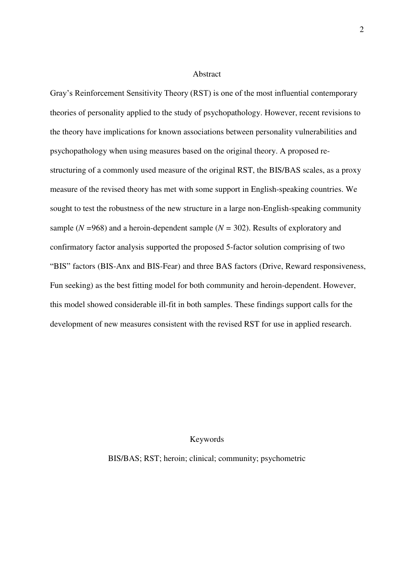#### Abstract

Gray's Reinforcement Sensitivity Theory (RST) is one of the most influential contemporary theories of personality applied to the study of psychopathology. However, recent revisions to the theory have implications for known associations between personality vulnerabilities and psychopathology when using measures based on the original theory. A proposed restructuring of a commonly used measure of the original RST, the BIS/BAS scales, as a proxy measure of the revised theory has met with some support in English-speaking countries. We sought to test the robustness of the new structure in a large non-English-speaking community sample (*N =*968) and a heroin-dependent sample (*N =* 302). Results of exploratory and confirmatory factor analysis supported the proposed 5-factor solution comprising of two "BIS" factors (BIS-Anx and BIS-Fear) and three BAS factors (Drive, Reward responsiveness, Fun seeking) as the best fitting model for both community and heroin-dependent. However, this model showed considerable ill-fit in both samples. These findings support calls for the development of new measures consistent with the revised RST for use in applied research.

#### Keywords

BIS/BAS; RST; heroin; clinical; community; psychometric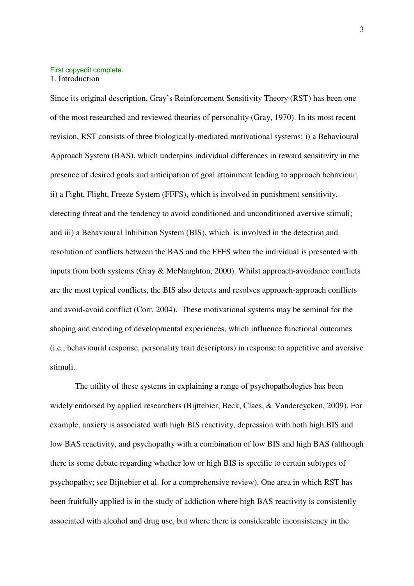### First copyedit complete. 1. Introduction

Since its original description, Gray's Reinforcement Sensitivity Theory (RST) has been one of the most researched and reviewed theories of personality [\(Gray, 1970\)](#page-13-0). In its most recent revision, RST consists of three biologically-mediated motivational systems: i) a Behavioural Approach System (BAS), which underpins individual differences in reward sensitivity in the presence of desired goals and anticipation of goal attainment leading to approach behaviour; ii) a Fight, Flight, Freeze System (FFFS), which is involved in punishment sensitivity, detecting threat and the tendency to avoid conditioned and unconditioned aversive stimuli; and iii) a Behavioural Inhibition System (BIS), which is involved in the detection and resolution of conflicts between the BAS and the FFFS when the individual is presented with inputs from both systems [\(Gray & McNaughton, 2000\)](#page-13-1). Whilst approach-avoidance conflicts are the most typical conflicts, the BIS also detects and resolves approach-approach conflicts and avoid-avoid conflict [\(Corr, 2004\)](#page-13-2). These motivational systems may be seminal for the shaping and encoding of developmental experiences, which influence functional outcomes (i.e., behavioural response, personality trait descriptors) in response to appetitive and aversive stimuli.

The utility of these systems in explaining a range of psychopathologies has been widely endorsed by applied researchers [\(Bijttebier, Beck, Claes, & Vandereycken, 2009\)](#page-13-3). For example, anxiety is associated with high BIS reactivity, depression with both high BIS and low BAS reactivity, and psychopathy with a combination of low BIS and high BAS (although there is some debate regarding whether low or high BIS is specific to certain subtypes of psychopathy; see Bijttebier et al. for a comprehensive review). One area in which RST has been fruitfully applied is in the study of addiction where high BAS reactivity is consistently associated with alcohol and drug use, but where there is considerable inconsistency in the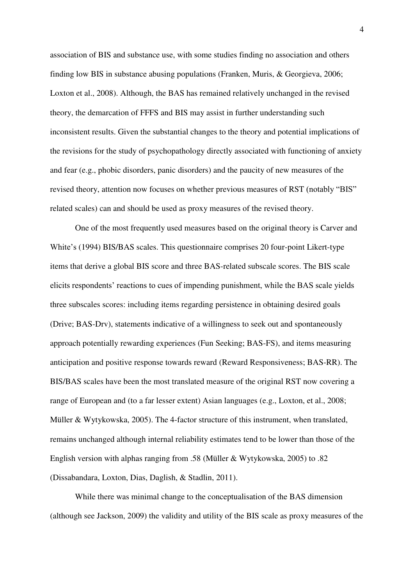association of BIS and substance use, with some studies finding no association and others finding low BIS in substance abusing populations [\(Franken, Muris, & Georgieva, 2006;](#page-13-4) [Loxton et al., 2008\)](#page-14-0). Although, the BAS has remained relatively unchanged in the revised theory, the demarcation of FFFS and BIS may assist in further understanding such inconsistent results. Given the substantial changes to the theory and potential implications of the revisions for the study of psychopathology directly associated with functioning of anxiety and fear (e.g., phobic disorders, panic disorders) and the paucity of new measures of the revised theory, attention now focuses on whether previous measures of RST (notably "BIS" related scales) can and should be used as proxy measures of the revised theory.

One of the most frequently used measures based on the original theory is Carver and White's (1994) BIS/BAS scales. This questionnaire comprises 20 four-point Likert-type items that derive a global BIS score and three BAS-related subscale scores. The BIS scale elicits respondents' reactions to cues of impending punishment, while the BAS scale yields three subscales scores: including items regarding persistence in obtaining desired goals (Drive; BAS-Drv), statements indicative of a willingness to seek out and spontaneously approach potentially rewarding experiences (Fun Seeking; BAS-FS), and items measuring anticipation and positive response towards reward (Reward Responsiveness; BAS-RR). The BIS/BAS scales have been the most translated measure of the original RST now covering a range of European and (to a far lesser extent) Asian languages [\(e.g., Loxton, et al., 2008;](#page-14-0) [Müller & Wytykowska, 2005\)](#page-14-1). The 4-factor structure of this instrument, when translated, remains unchanged although internal reliability estimates tend to be lower than those of the English version with alphas ranging from .58 (Müller & Wytykowska, 2005) to .82 [\(Dissabandara, Loxton, Dias, Daglish, & Stadlin, 2011\)](#page-13-5).

 While there was minimal change to the conceptualisation of the BAS dimension (although see Jackson, 2009) the validity and utility of the BIS scale as proxy measures of the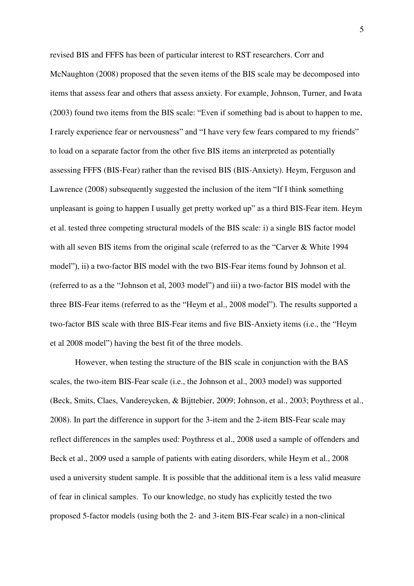revised BIS and FFFS has been of particular interest to RST researchers. [Corr and](#page-13-6)  [McNaughton \(2008\)](#page-13-6) proposed that the seven items of the BIS scale may be decomposed into items that assess fear and others that assess anxiety. For example, [Johnson, Turner, and Iwata](#page-14-2)  [\(2003\)](#page-14-2) found two items from the BIS scale: "Even if something bad is about to happen to me, I rarely experience fear or nervousness" and "I have very few fears compared to my friends" to load on a separate factor from the other five BIS items an interpreted as potentially assessing FFFS (BIS-Fear) rather than the revised BIS (BIS-Anxiety). Heym, Ferguson and Lawrence [\(2008\)](#page-14-3) subsequently suggested the inclusion of the item "If I think something unpleasant is going to happen I usually get pretty worked up" as a third BIS-Fear item. Heym et al. tested three competing structural models of the BIS scale: i) a single BIS factor model with all seven BIS items from the original scale (referred to as the "Carver & White 1994 model"), ii) a two-factor BIS model with the two BIS-Fear items found by Johnson et al. (referred to as a the "Johnson et al, 2003 model") and iii) a two-factor BIS model with the three BIS-Fear items (referred to as the "Heym et al., 2008 model"). The results supported a two-factor BIS scale with three BIS-Fear items and five BIS-Anxiety items (i.e., the "Heym et al 2008 model") having the best fit of the three models.

However, when testing the structure of the BIS scale in conjunction with the BAS scales, the two-item BIS-Fear scale (i.e., the Johnson et al., 2003 model) was supported [\(Beck, Smits, Claes, Vandereycken, & Bijttebier, 2009;](#page-13-7) [Johnson, et al., 2003;](#page-14-2) [Poythress et al.,](#page-15-0)  [2008\)](#page-15-0). In part the difference in support for the 3-item and the 2-item BIS-Fear scale may reflect differences in the samples used: Poythress et al., 2008 used a sample of offenders and Beck et al., 2009 used a sample of patients with eating disorders, while Heym et al., 2008 used a university student sample. It is possible that the additional item is a less valid measure of fear in clinical samples. To our knowledge, no study has explicitly tested the two proposed 5-factor models (using both the 2- and 3-item BIS-Fear scale) in a non-clinical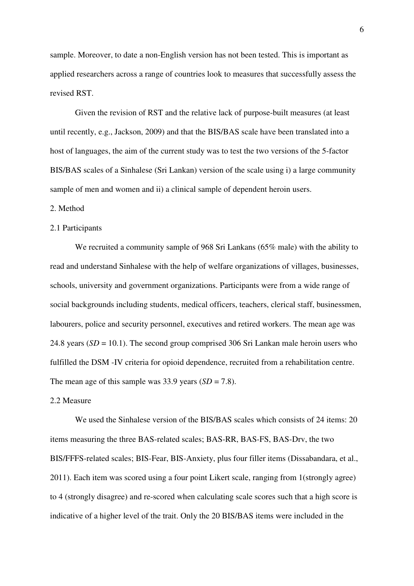sample. Moreover, to date a non-English version has not been tested. This is important as applied researchers across a range of countries look to measures that successfully assess the revised RST.

Given the revision of RST and the relative lack of purpose-built measures (at least until recently, e.g., Jackson, 2009) and that the BIS/BAS scale have been translated into a host of languages, the aim of the current study was to test the two versions of the 5-factor BIS/BAS scales of a Sinhalese (Sri Lankan) version of the scale using i) a large community sample of men and women and ii) a clinical sample of dependent heroin users.

### 2. Method

#### 2.1 Participants

We recruited a community sample of 968 Sri Lankans (65% male) with the ability to read and understand Sinhalese with the help of welfare organizations of villages, businesses, schools, university and government organizations. Participants were from a wide range of social backgrounds including students, medical officers, teachers, clerical staff, businessmen, labourers, police and security personnel, executives and retired workers. The mean age was 24.8 years (*SD* = 10.1). The second group comprised 306 Sri Lankan male heroin users who fulfilled the DSM -IV criteria for opioid dependence, recruited from a rehabilitation centre. The mean age of this sample was  $33.9$  years  $(SD = 7.8)$ .

## 2.2 Measure

We used the Sinhalese version of the BIS/BAS scales which consists of 24 items: 20 items measuring the three BAS-related scales; BAS-RR, BAS-FS, BAS-Drv, the two BIS/FFFS-related scales; BIS-Fear, BIS-Anxiety, plus four filler items [\(Dissabandara, et al.,](#page-13-5)  [2011\)](#page-13-5). Each item was scored using a four point Likert scale, ranging from 1(strongly agree) to 4 (strongly disagree) and re-scored when calculating scale scores such that a high score is indicative of a higher level of the trait. Only the 20 BIS/BAS items were included in the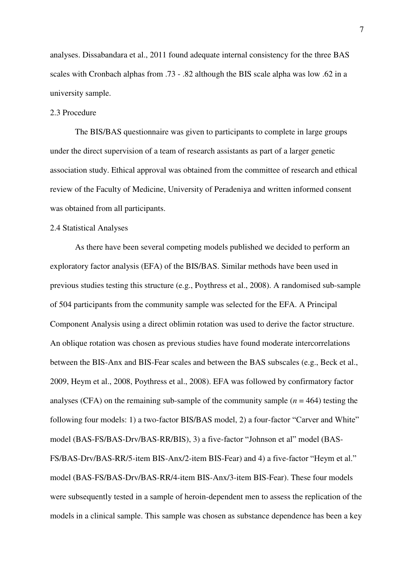analyses. Dissabandara et al., 2011 found adequate internal consistency for the three BAS scales with Cronbach alphas from .73 - .82 although the BIS scale alpha was low .62 in a university sample.

## 2.3 Procedure

The BIS/BAS questionnaire was given to participants to complete in large groups under the direct supervision of a team of research assistants as part of a larger genetic association study. Ethical approval was obtained from the committee of research and ethical review of the Faculty of Medicine, University of Peradeniya and written informed consent was obtained from all participants.

#### 2.4 Statistical Analyses

As there have been several competing models published we decided to perform an exploratory factor analysis (EFA) of the BIS/BAS. Similar methods have been used in previous studies testing this structure (e.g., Poythress et al., 2008). A randomised sub-sample of 504 participants from the community sample was selected for the EFA. A Principal Component Analysis using a direct oblimin rotation was used to derive the factor structure. An oblique rotation was chosen as previous studies have found moderate intercorrelations between the BIS-Anx and BIS-Fear scales and between the BAS subscales (e.g., Beck et al., 2009, Heym et al., 2008, Poythress et al., 2008). EFA was followed by confirmatory factor analyses (CFA) on the remaining sub-sample of the community sample  $(n = 464)$  testing the following four models: 1) a two-factor BIS/BAS model, 2) a four-factor "Carver and White" model (BAS-FS/BAS-Drv/BAS-RR/BIS), 3) a five-factor "Johnson et al" model (BAS-FS/BAS-Drv/BAS-RR/5-item BIS-Anx/2-item BIS-Fear) and 4) a five-factor "Heym et al." model (BAS-FS/BAS-Drv/BAS-RR/4-item BIS-Anx/3-item BIS-Fear). These four models were subsequently tested in a sample of heroin-dependent men to assess the replication of the models in a clinical sample. This sample was chosen as substance dependence has been a key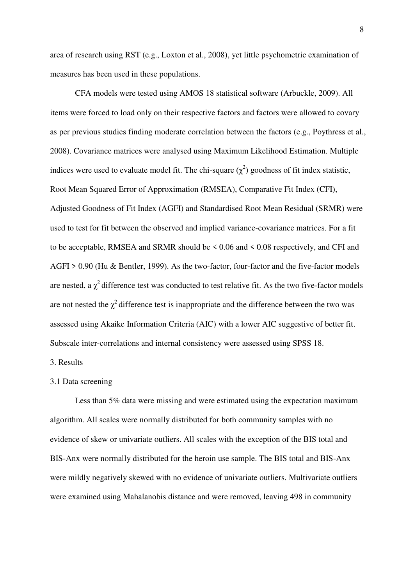area of research using RST (e.g., Loxton et al., 2008), yet little psychometric examination of measures has been used in these populations.

CFA models were tested using AMOS 18 statistical software [\(Arbuckle, 2009\)](#page-13-8). All items were forced to load only on their respective factors and factors were allowed to covary as per previous studies finding moderate correlation between the factors (e.g., Poythress et al., 2008). Covariance matrices were analysed using Maximum Likelihood Estimation. Multiple indices were used to evaluate model fit. The chi-square  $(\chi^2)$  goodness of fit index statistic, Root Mean Squared Error of Approximation (RMSEA), Comparative Fit Index (CFI), Adjusted Goodness of Fit Index (AGFI) and Standardised Root Mean Residual (SRMR) were used to test for fit between the observed and implied variance-covariance matrices. For a fit to be acceptable, RMSEA and SRMR should be < 0.06 and < 0.08 respectively, and CFI and AGFI > 0.90 [\(Hu & Bentler, 1999\)](#page-14-4). As the two-factor, four-factor and the five-factor models are nested, a  $\chi^2$  difference test was conducted to test relative fit. As the two five-factor models are not nested the  $\chi^2$  difference test is inappropriate and the difference between the two was assessed using Akaike Information Criteria (AIC) with a lower AIC suggestive of better fit. Subscale inter-correlations and internal consistency were assessed using SPSS 18.

## 3. Results

## 3.1 Data screening

Less than 5% data were missing and were estimated using the expectation maximum algorithm. All scales were normally distributed for both community samples with no evidence of skew or univariate outliers. All scales with the exception of the BIS total and BIS-Anx were normally distributed for the heroin use sample. The BIS total and BIS-Anx were mildly negatively skewed with no evidence of univariate outliers. Multivariate outliers were examined using Mahalanobis distance and were removed, leaving 498 in community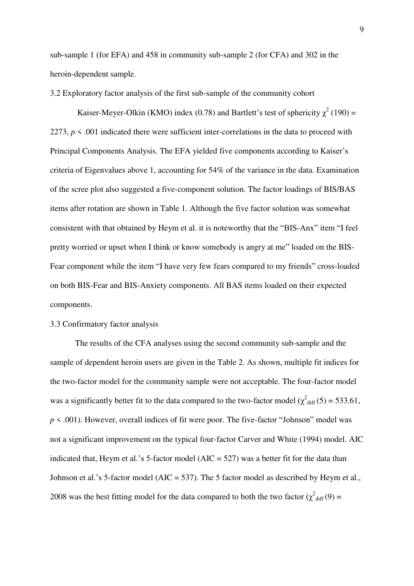sub-sample 1 (for EFA) and 458 in community sub-sample 2 (for CFA) and 302 in the heroin-dependent sample.

3.2 Exploratory factor analysis of the first sub-sample of the community cohort

Kaiser-Meyer-Olkin (KMO) index (0.78) and Bartlett's test of sphericity  $\chi^2$  (190) = 2273,  $p \leq 0.001$  indicated there were sufficient inter-correlations in the data to proceed with Principal Components Analysis. The EFA yielded five components according to Kaiser's criteria of Eigenvalues above 1, accounting for 54% of the variance in the data. Examination of the scree plot also suggested a five-component solution. The factor loadings of BIS/BAS items after rotation are shown in Table 1. Although the five factor solution was somewhat consistent with that obtained by Heym et al. it is noteworthy that the "BIS-Anx" item "I feel pretty worried or upset when I think or know somebody is angry at me" loaded on the BIS-Fear component while the item "I have very few fears compared to my friends" cross-loaded on both BIS-Fear and BIS-Anxiety components. All BAS items loaded on their expected components.

## 3.3 Confirmatory factor analysis

The results of the CFA analyses using the second community sub-sample and the sample of dependent heroin users are given in the Table 2. As shown, multiple fit indices for the two-factor model for the community sample were not acceptable. The four-factor model was a significantly better fit to the data compared to the two-factor model ( $\chi^2$ <sub>diff</sub> (5) = 533.61, *p* < .001). However, overall indices of fit were poor. The five-factor "Johnson" model was not a significant improvement on the typical four-factor Carver and White (1994) model. AIC indicated that, Heym et al.'s 5-factor model ( $AIC = 527$ ) was a better fit for the data than Johnson et al.'s 5-factor model (AIC = 537). The 5 factor model as described by Heym et al., 2008 was the best fitting model for the data compared to both the two factor  $(\chi^2_{\text{diff}}(9))$  =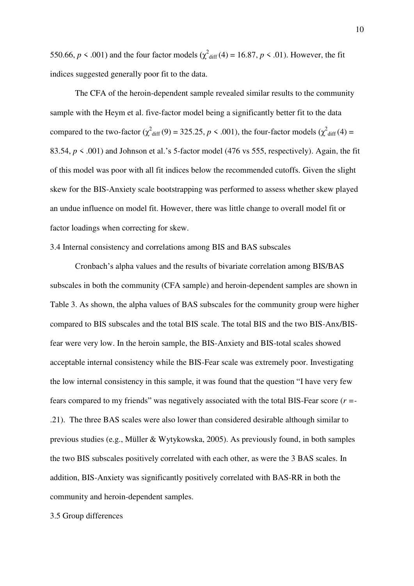550.66,  $p \le 0.001$ ) and the four factor models ( $\chi^2$ <sub>diff</sub> (4) = 16.87,  $p \le 0.01$ ). However, the fit indices suggested generally poor fit to the data.

The CFA of the heroin-dependent sample revealed similar results to the community sample with the Heym et al. five-factor model being a significantly better fit to the data compared to the two-factor ( $\chi^2$ <sub>diff</sub> (9) = 325.25, *p* < .001), the four-factor models ( $\chi^2$ <sub>diff</sub> (4) = 83.54,  $p \le 0.001$ ) and Johnson et al.'s 5-factor model (476 vs 555, respectively). Again, the fit of this model was poor with all fit indices below the recommended cutoffs. Given the slight skew for the BIS-Anxiety scale bootstrapping was performed to assess whether skew played an undue influence on model fit. However, there was little change to overall model fit or factor loadings when correcting for skew.

## 3.4 Internal consistency and correlations among BIS and BAS subscales

Cronbach's alpha values and the results of bivariate correlation among BIS/BAS subscales in both the community (CFA sample) and heroin-dependent samples are shown in Table 3. As shown, the alpha values of BAS subscales for the community group were higher compared to BIS subscales and the total BIS scale. The total BIS and the two BIS-Anx/BISfear were very low. In the heroin sample, the BIS-Anxiety and BIS-total scales showed acceptable internal consistency while the BIS-Fear scale was extremely poor. Investigating the low internal consistency in this sample, it was found that the question "I have very few fears compared to my friends" was negatively associated with the total BIS-Fear score (*r =-* .21). The three BAS scales were also lower than considered desirable although similar to previous studies (e.g., Müller & Wytykowska, 2005). As previously found, in both samples the two BIS subscales positively correlated with each other, as were the 3 BAS scales. In addition, BIS-Anxiety was significantly positively correlated with BAS-RR in both the community and heroin-dependent samples.

### 3.5 Group differences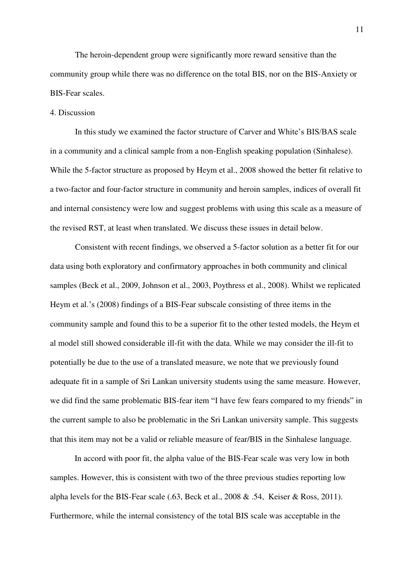The heroin-dependent group were significantly more reward sensitive than the community group while there was no difference on the total BIS, nor on the BIS-Anxiety or BIS-Fear scales.

## 4. Discussion

In this study we examined the factor structure of Carver and White's BIS/BAS scale in a community and a clinical sample from a non-English speaking population (Sinhalese). While the 5-factor structure as proposed by Heym et al., 2008 showed the better fit relative to a two-factor and four-factor structure in community and heroin samples, indices of overall fit and internal consistency were low and suggest problems with using this scale as a measure of the revised RST, at least when translated. We discuss these issues in detail below.

Consistent with recent findings, we observed a 5-factor solution as a better fit for our data using both exploratory and confirmatory approaches in both community and clinical samples (Beck et al., 2009, Johnson et al., 2003, Poythress et al., 2008). Whilst we replicated Heym et al.'s (2008) findings of a BIS-Fear subscale consisting of three items in the community sample and found this to be a superior fit to the other tested models, the Heym et al model still showed considerable ill-fit with the data. While we may consider the ill-fit to potentially be due to the use of a translated measure, we note that we previously found adequate fit in a sample of Sri Lankan university students using the same measure. However, we did find the same problematic BIS-fear item "I have few fears compared to my friends" in the current sample to also be problematic in the Sri Lankan university sample. This suggests that this item may not be a valid or reliable measure of fear/BIS in the Sinhalese language.

In accord with poor fit, the alpha value of the BIS-Fear scale was very low in both samples. However, this is consistent with two of the three previous studies reporting low alpha levels for the BIS-Fear scale [\(.63, Beck et al., 2008 & .54, Keiser & Ross, 2011\)](#page-14-5). Furthermore, while the internal consistency of the total BIS scale was acceptable in the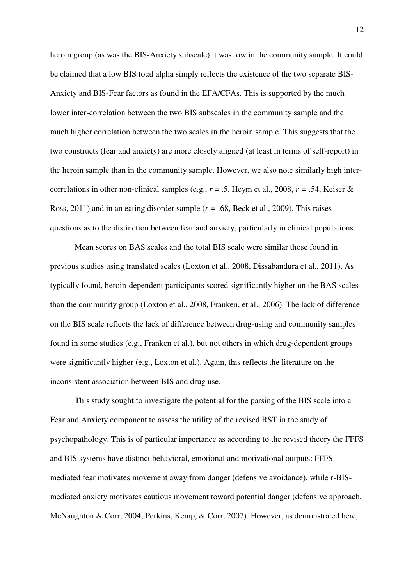heroin group (as was the BIS-Anxiety subscale) it was low in the community sample. It could be claimed that a low BIS total alpha simply reflects the existence of the two separate BIS-Anxiety and BIS-Fear factors as found in the EFA/CFAs. This is supported by the much lower inter-correlation between the two BIS subscales in the community sample and the much higher correlation between the two scales in the heroin sample. This suggests that the two constructs (fear and anxiety) are more closely aligned (at least in terms of self-report) in the heroin sample than in the community sample. However, we also note similarly high intercorrelations in other non-clinical samples (e.g.,  $r = .5$ , Heym et al., 2008,  $r = .54$ , Keiser & Ross, 2011) and in an eating disorder sample (*r =* .68, Beck et al., 2009). This raises questions as to the distinction between fear and anxiety, particularly in clinical populations.

Mean scores on BAS scales and the total BIS scale were similar those found in previous studies using translated scales (Loxton et al., 2008, Dissabandura et al., 2011). As typically found, heroin-dependent participants scored significantly higher on the BAS scales than the community group [\(Loxton et al., 2008, Franken, et al., 2006\)](#page-13-4). The lack of difference on the BIS scale reflects the lack of difference between drug-using and community samples found in some studies (e.g., Franken et al.), but not others in which drug-dependent groups were significantly higher (e.g., Loxton et al.). Again, this reflects the literature on the inconsistent association between BIS and drug use.

This study sought to investigate the potential for the parsing of the BIS scale into a Fear and Anxiety component to assess the utility of the revised RST in the study of psychopathology. This is of particular importance as according to the revised theory the FFFS and BIS systems have distinct behavioral, emotional and motivational outputs: FFFSmediated fear motivates movement away from danger (defensive avoidance), while r-BISmediated anxiety motivates cautious movement toward potential danger (defensive approach, [McNaughton & Corr, 2004;](#page-14-6) [Perkins, Kemp, & Corr, 2007\)](#page-15-1). However, as demonstrated here,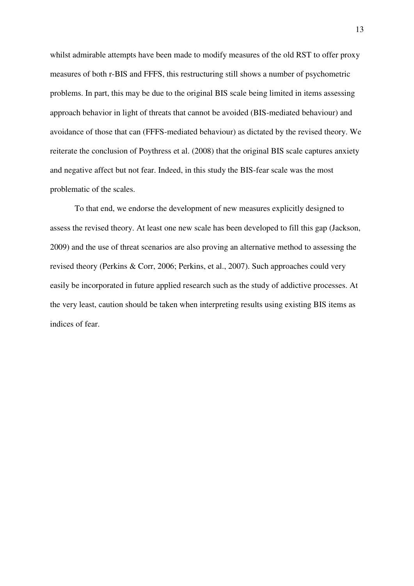whilst admirable attempts have been made to modify measures of the old RST to offer proxy measures of both r-BIS and FFFS, this restructuring still shows a number of psychometric problems. In part, this may be due to the original BIS scale being limited in items assessing approach behavior in light of threats that cannot be avoided (BIS-mediated behaviour) and avoidance of those that can (FFFS-mediated behaviour) as dictated by the revised theory. We reiterate the conclusion of Poythress et al. (2008) that the original BIS scale captures anxiety and negative affect but not fear. Indeed, in this study the BIS-fear scale was the most problematic of the scales.

To that end, we endorse the development of new measures explicitly designed to assess the revised theory. At least one new scale has been developed to fill this gap [\(Jackson,](#page-14-7)  [2009\)](#page-14-7) and the use of threat scenarios are also proving an alternative method to assessing the revised theory [\(Perkins & Corr, 2006;](#page-15-2) [Perkins, et al., 2007\)](#page-15-1). Such approaches could very easily be incorporated in future applied research such as the study of addictive processes. At the very least, caution should be taken when interpreting results using existing BIS items as indices of fear.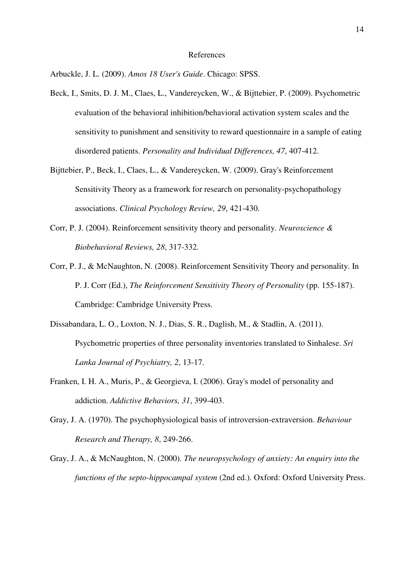#### References

<span id="page-13-8"></span>Arbuckle, J. L. (2009). *Amos 18 User's Guide*. Chicago: SPSS.

- <span id="page-13-7"></span>Beck, I., Smits, D. J. M., Claes, L., Vandereycken, W., & Bijttebier, P. (2009). Psychometric evaluation of the behavioral inhibition/behavioral activation system scales and the sensitivity to punishment and sensitivity to reward questionnaire in a sample of eating disordered patients. *Personality and Individual Differences, 47*, 407-412.
- <span id="page-13-3"></span>Bijttebier, P., Beck, I., Claes, L., & Vandereycken, W. (2009). Gray's Reinforcement Sensitivity Theory as a framework for research on personality-psychopathology associations. *Clinical Psychology Review, 29*, 421-430.
- <span id="page-13-2"></span>Corr, P. J. (2004). Reinforcement sensitivity theory and personality. *Neuroscience & Biobehavioral Reviews, 28*, 317-332.
- <span id="page-13-6"></span>Corr, P. J., & McNaughton, N. (2008). Reinforcement Sensitivity Theory and personality. In P. J. Corr (Ed.), *The Reinforcement Sensitivity Theory of Personality* (pp. 155-187). Cambridge: Cambridge University Press.
- <span id="page-13-5"></span>Dissabandara, L. O., Loxton, N. J., Dias, S. R., Daglish, M., & Stadlin, A. (2011). Psychometric properties of three personality inventories translated to Sinhalese. *Sri Lanka Journal of Psychiatry, 2*, 13-17.
- <span id="page-13-4"></span>Franken, I. H. A., Muris, P., & Georgieva, I. (2006). Gray's model of personality and addiction. *Addictive Behaviors, 31*, 399-403.
- <span id="page-13-0"></span>Gray, J. A. (1970). The psychophysiological basis of introversion-extraversion. *Behaviour Research and Therapy, 8*, 249-266.
- <span id="page-13-1"></span>Gray, J. A., & McNaughton, N. (2000). *The neuropsychology of anxiety: An enquiry into the functions of the septo-hippocampal system* (2nd ed.). Oxford: Oxford University Press.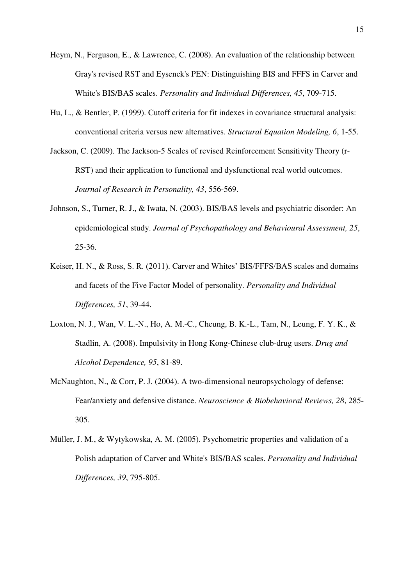- <span id="page-14-3"></span>Heym, N., Ferguson, E., & Lawrence, C. (2008). An evaluation of the relationship between Gray's revised RST and Eysenck's PEN: Distinguishing BIS and FFFS in Carver and White's BIS/BAS scales. *Personality and Individual Differences, 45*, 709-715.
- <span id="page-14-4"></span>Hu, L., & Bentler, P. (1999). Cutoff criteria for fit indexes in covariance structural analysis: conventional criteria versus new alternatives. *Structural Equation Modeling, 6*, 1-55.
- <span id="page-14-7"></span>Jackson, C. (2009). The Jackson-5 Scales of revised Reinforcement Sensitivity Theory (r-RST) and their application to functional and dysfunctional real world outcomes. *Journal of Research in Personality, 43*, 556-569.
- <span id="page-14-2"></span>Johnson, S., Turner, R. J., & Iwata, N. (2003). BIS/BAS levels and psychiatric disorder: An epidemiological study. *Journal of Psychopathology and Behavioural Assessment, 25*, 25-36.
- <span id="page-14-5"></span>Keiser, H. N., & Ross, S. R. (2011). Carver and Whites' BIS/FFFS/BAS scales and domains and facets of the Five Factor Model of personality. *Personality and Individual Differences, 51*, 39-44.
- <span id="page-14-0"></span>Loxton, N. J., Wan, V. L.-N., Ho, A. M.-C., Cheung, B. K.-L., Tam, N., Leung, F. Y. K., & Stadlin, A. (2008). Impulsivity in Hong Kong-Chinese club-drug users. *Drug and Alcohol Dependence, 95*, 81-89.
- <span id="page-14-6"></span>McNaughton, N., & Corr, P. J. (2004). A two-dimensional neuropsychology of defense: Fear/anxiety and defensive distance. *Neuroscience & Biobehavioral Reviews, 28*, 285- 305.
- <span id="page-14-1"></span>Müller, J. M., & Wytykowska, A. M. (2005). Psychometric properties and validation of a Polish adaptation of Carver and White's BIS/BAS scales. *Personality and Individual Differences, 39*, 795-805.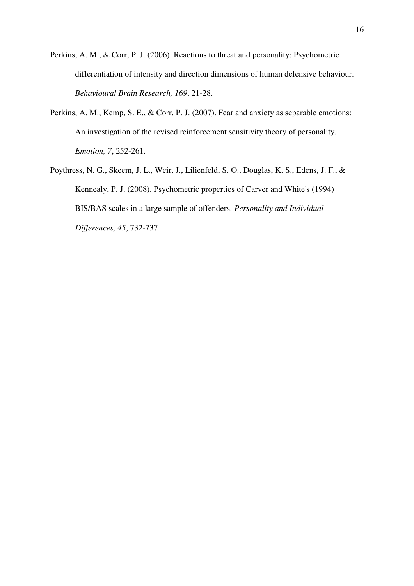<span id="page-15-2"></span>Perkins, A. M., & Corr, P. J. (2006). Reactions to threat and personality: Psychometric differentiation of intensity and direction dimensions of human defensive behaviour. *Behavioural Brain Research, 169*, 21-28.

- <span id="page-15-1"></span>Perkins, A. M., Kemp, S. E., & Corr, P. J. (2007). Fear and anxiety as separable emotions: An investigation of the revised reinforcement sensitivity theory of personality. *Emotion, 7*, 252-261.
- <span id="page-15-0"></span>Poythress, N. G., Skeem, J. L., Weir, J., Lilienfeld, S. O., Douglas, K. S., Edens, J. F., & Kennealy, P. J. (2008). Psychometric properties of Carver and White's (1994) BIS/BAS scales in a large sample of offenders. *Personality and Individual Differences, 45*, 732-737.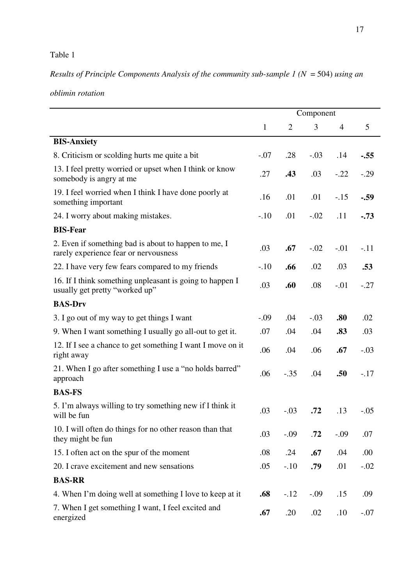# Table 1

# *Results of Principle Components Analysis of the community sub-sample 1 (N = 504) using an*

*oblimin rotation* 

|                                                                                               | Component    |                |        |                |        |  |
|-----------------------------------------------------------------------------------------------|--------------|----------------|--------|----------------|--------|--|
|                                                                                               | $\mathbf{1}$ | $\overline{2}$ | 3      | $\overline{4}$ | 5      |  |
| <b>BIS-Anxiety</b>                                                                            |              |                |        |                |        |  |
| 8. Criticism or scolding hurts me quite a bit                                                 | $-.07$       | .28            | $-.03$ | .14            | $-.55$ |  |
| 13. I feel pretty worried or upset when I think or know<br>somebody is angry at me            | .27          | .43            | .03    | $-.22$         | $-.29$ |  |
| 19. I feel worried when I think I have done poorly at<br>something important                  | .16          | .01            | .01    | $-.15$         | $-.59$ |  |
| 24. I worry about making mistakes.                                                            | $-.10$       | .01            | $-.02$ | .11            | $-.73$ |  |
| <b>BIS-Fear</b>                                                                               |              |                |        |                |        |  |
| 2. Even if something bad is about to happen to me, I<br>rarely experience fear or nervousness | .03          | .67            | $-.02$ | $-.01$         | $-.11$ |  |
| 22. I have very few fears compared to my friends                                              | $-.10$       | .66            | .02    | .03            | .53    |  |
| 16. If I think something unpleasant is going to happen I<br>usually get pretty "worked up"    | .03          | .60            | .08    | $-.01$         | $-.27$ |  |
| <b>BAS-Drv</b>                                                                                |              |                |        |                |        |  |
| 3. I go out of my way to get things I want                                                    | $-.09$       | .04            | $-.03$ | .80            | .02    |  |
| 9. When I want something I usually go all-out to get it.                                      | .07          | .04            | .04    | .83            | .03    |  |
| 12. If I see a chance to get something I want I move on it<br>right away                      | .06          | .04            | .06    | .67            | $-.03$ |  |
| 21. When I go after something I use a "no holds barred"<br>approach                           | .06          | $-.35$         | .04    | .50            | $-.17$ |  |
| <b>BAS-FS</b>                                                                                 |              |                |        |                |        |  |
| 5. I'm always willing to try something new if I think it<br>will be fun                       | .03          | $-.03$         | .72    | .13            | $-.05$ |  |
| 10. I will often do things for no other reason than that<br>they might be fun                 | .03          | $-.09$         | .72    | $-.09$         | .07    |  |
| 15. I often act on the spur of the moment                                                     | .08          | .24            | .67    | .04            | .00    |  |
| 20. I crave excitement and new sensations                                                     | .05          | $-.10$         | .79    | .01            | $-.02$ |  |
| <b>BAS-RR</b>                                                                                 |              |                |        |                |        |  |
| 4. When I'm doing well at something I love to keep at it                                      | .68          | $-.12$         | $-.09$ | .15            | .09    |  |
| 7. When I get something I want, I feel excited and<br>energized                               | .67          | .20            | .02    | .10            | $-.07$ |  |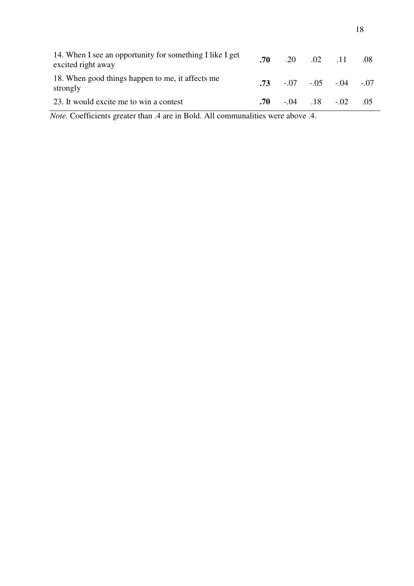| 14. When I see an opportunity for something I like I get<br>excited right away | .70 | .20                               | .02 | $\overline{\phantom{0}11}$ | .08 |
|--------------------------------------------------------------------------------|-----|-----------------------------------|-----|----------------------------|-----|
| 18. When good things happen to me, it affects me<br>strongly                   |     | $.73$ $-.07$ $-.05$ $-.04$ $-.07$ |     |                            |     |
| 23. It would excite me to win a contest                                        | .70 |                                   |     | $-0.04$ .18 $-0.02$ .05    |     |

*Note.* Coefficients greater than .4 are in Bold. All communalities were above .4.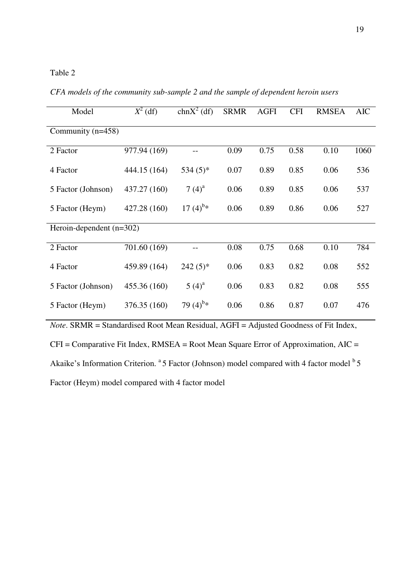## Table 2

*CFA models of the community sub-sample 2 and the sample of dependent heroin users* 

| Model                      | $\overline{X}^2$ (df) | $\text{chnX}^2$ (df)   | <b>SRMR</b> | <b>AGFI</b> | <b>CFI</b> | <b>RMSEA</b> | <b>AIC</b> |  |
|----------------------------|-----------------------|------------------------|-------------|-------------|------------|--------------|------------|--|
| Community $(n=458)$        |                       |                        |             |             |            |              |            |  |
| 2 Factor                   | 977.94 (169)          |                        | 0.09        | 0.75        | 0.58       | 0.10         | 1060       |  |
| 4 Factor                   | 444.15 (164)          | $534(5)$ *             | 0.07        | 0.89        | 0.85       | 0.06         | 536        |  |
| 5 Factor (Johnson)         | 437.27 (160)          | 7 $(4)^a$              | 0.06        | 0.89        | 0.85       | 0.06         | 537        |  |
| 5 Factor (Heym)            | 427.28 (160)          | $17(4)$ <sup>b</sup> * | 0.06        | 0.89        | 0.86       | 0.06         | 527        |  |
| Heroin-dependent $(n=302)$ |                       |                        |             |             |            |              |            |  |
| 2 Factor                   | 701.60 (169)          |                        | 0.08        | 0.75        | 0.68       | 0.10         | 784        |  |
| 4 Factor                   | 459.89 (164)          | $242(5)*$              | 0.06        | 0.83        | 0.82       | 0.08         | 552        |  |
| 5 Factor (Johnson)         | 455.36 (160)          | $5(4)^{a}$             | 0.06        | 0.83        | 0.82       | 0.08         | 555        |  |
| 5 Factor (Heym)            | 376.35 (160)          | 79 $(4)^{b*}$          | 0.06        | 0.86        | 0.87       | 0.07         | 476        |  |

*Note*. SRMR = Standardised Root Mean Residual, AGFI = Adjusted Goodness of Fit Index, CFI = Comparative Fit Index, RMSEA = Root Mean Square Error of Approximation, AIC =

Akaike's Information Criterion.  $a$ <sup>5</sup> Factor (Johnson) model compared with 4 factor model  $b$ <sup>5</sup> 5

Factor (Heym) model compared with 4 factor model